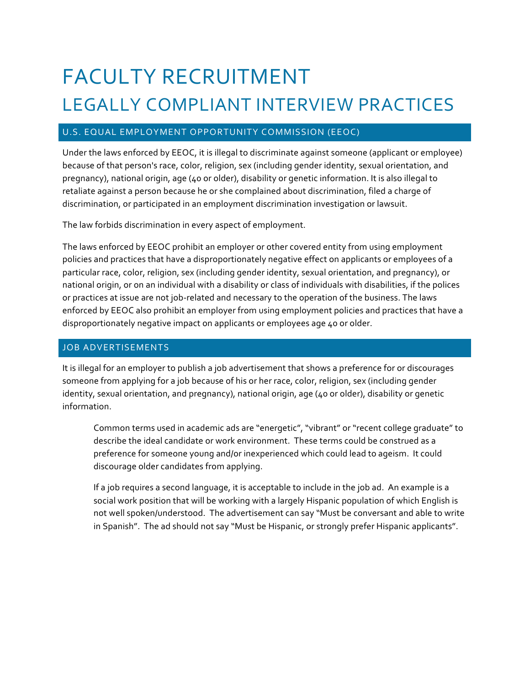# FACULTY RECRUITMENT LEGALLY COMPLIANT INTERVIEW PRACTICES

# U.S. EQUAL EMPLOYMENT OPPORTUNITY COMMISSION (EEOC)

Under the laws enforced by EEOC, it is illegal to discriminate against someone (applicant or employee) because of that person's race, color, religion, sex (including gender identity, sexual orientation, and pregnancy), national origin, age (40 or older), disability or genetic information. It is also illegal to retaliate against a person because he or she complained about discrimination, filed a charge of discrimination, or participated in an employment discrimination investigation or lawsuit.

The law forbids discrimination in every aspect of employment.

The laws enforced by EEOC prohibit an employer or other covered entity from using employment policies and practices that have a disproportionately negative effect on applicants or employees of a particular race, color, religion, sex (including gender identity, sexual orientation, and pregnancy), or national origin, or on an individual with a disability or class of individuals with disabilities, if the polices or practices at issue are not job-related and necessary to the operation of the business. The laws enforced by EEOC also prohibit an employer from using employment policies and practices that have a disproportionately negative impact on applicants or employees age 40 or older.

### JOB ADVERTISEMENTS

It is illegal for an employer to publish a job advertisement that shows a preference for or discourages someone from applying for a job because of his or her race, color, religion, sex (including gender identity, sexual orientation, and pregnancy), national origin, age (40 or older), disability or genetic information.

Common terms used in academic ads are "energetic", "vibrant" or "recent college graduate" to describe the ideal candidate or work environment. These terms could be construed as a preference for someone young and/or inexperienced which could lead to ageism. It could discourage older candidates from applying.

If a job requires a second language, it is acceptable to include in the job ad. An example is a social work position that will be working with a largely Hispanic population of which English is not well spoken/understood. The advertisement can say "Must be conversant and able to write in Spanish". The ad should not say "Must be Hispanic, or strongly prefer Hispanic applicants".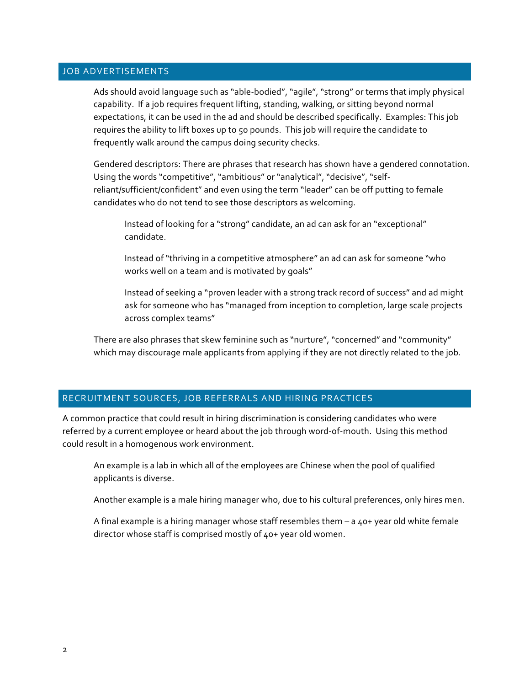#### JOB ADVERTISEMENTS

Ads should avoid language such as "able-bodied", "agile", "strong" or terms that imply physical capability. If a job requires frequent lifting, standing, walking, or sitting beyond normal expectations, it can be used in the ad and should be described specifically. Examples: This job requires the ability to lift boxes up to 50 pounds. This job will require the candidate to frequently walk around the campus doing security checks.

Gendered descriptors: There are phrases that research has shown have a gendered connotation. Using the words "competitive", "ambitious" or "analytical", "decisive", "selfreliant/sufficient/confident" and even using the term "leader" can be off putting to female candidates who do not tend to see those descriptors as welcoming.

Instead of looking for a "strong" candidate, an ad can ask for an "exceptional" candidate. 

Instead of "thriving in a competitive atmosphere" an ad can ask for someone "who works well on a team and is motivated by goals"

Instead of seeking a "proven leader with a strong track record of success" and ad might ask for someone who has "managed from inception to completion, large scale projects across complex teams"

There are also phrases that skew feminine such as "nurture", "concerned" and "community" which may discourage male applicants from applying if they are not directly related to the job.

#### RECRUITMENT SOURCES, JOB REFERRALS AND HIRING PRACTICES

A common practice that could result in hiring discrimination is considering candidates who were referred by a current employee or heard about the job through word-of-mouth. Using this method could result in a homogenous work environment.

An example is a lab in which all of the employees are Chinese when the pool of qualified applicants is diverse.

Another example is a male hiring manager who, due to his cultural preferences, only hires men.

A final example is a hiring manager whose staff resembles them  $-$  a  $40+$  year old white female director whose staff is comprised mostly of 40+ year old women.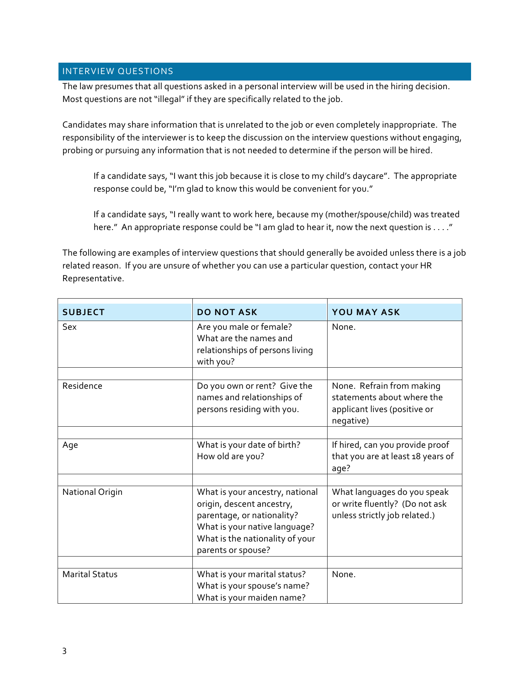# INTERVIEW QUESTIONS

The law presumes that all questions asked in a personal interview will be used in the hiring decision. Most questions are not "illegal" if they are specifically related to the job.

Candidates may share information that is unrelated to the job or even completely inappropriate. The responsibility of the interviewer is to keep the discussion on the interview questions without engaging, probing or pursuing any information that is not needed to determine if the person will be hired.

If a candidate says, "I want this job because it is close to my child's daycare". The appropriate response could be, "I'm glad to know this would be convenient for you."

If a candidate says, "I really want to work here, because my (mother/spouse/child) was treated here." An appropriate response could be "I am glad to hear it, now the next question is . . . ."

The following are examples of interview questions that should generally be avoided unless there is a job related reason. If you are unsure of whether you can use a particular question, contact your HR Representative.

| <b>SUBJECT</b>         | <b>DO NOT ASK</b>                                                                                                                                                                    | <b>YOU MAY ASK</b>                                                                                   |
|------------------------|--------------------------------------------------------------------------------------------------------------------------------------------------------------------------------------|------------------------------------------------------------------------------------------------------|
| Sex                    | Are you male or female?<br>What are the names and<br>relationships of persons living<br>with you?                                                                                    | None.                                                                                                |
|                        |                                                                                                                                                                                      |                                                                                                      |
| Residence              | Do you own or rent? Give the<br>names and relationships of<br>persons residing with you.                                                                                             | None. Refrain from making<br>statements about where the<br>applicant lives (positive or<br>negative) |
|                        |                                                                                                                                                                                      |                                                                                                      |
| Age                    | What is your date of birth?<br>How old are you?                                                                                                                                      | If hired, can you provide proof<br>that you are at least 18 years of<br>age?                         |
|                        |                                                                                                                                                                                      |                                                                                                      |
| <b>National Origin</b> | What is your ancestry, national<br>origin, descent ancestry,<br>parentage, or nationality?<br>What is your native language?<br>What is the nationality of your<br>parents or spouse? | What languages do you speak<br>or write fluently? (Do not ask<br>unless strictly job related.)       |
|                        |                                                                                                                                                                                      |                                                                                                      |
| <b>Marital Status</b>  | What is your marital status?<br>What is your spouse's name?<br>What is your maiden name?                                                                                             | None.                                                                                                |